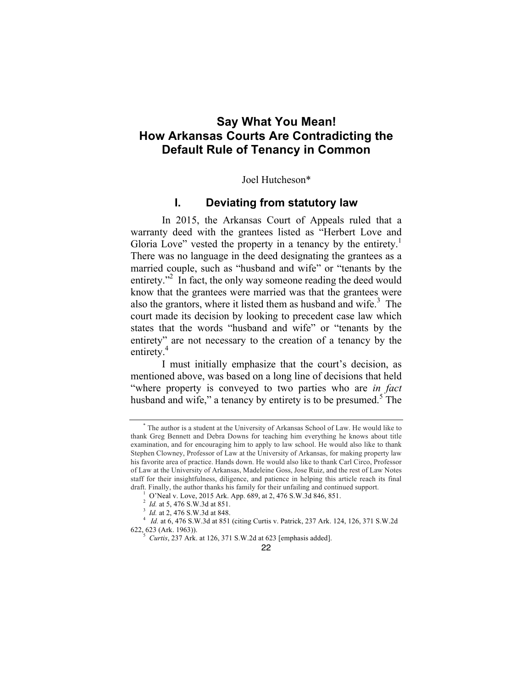# **Say What You Mean! How Arkansas Courts Are Contradicting the Default Rule of Tenancy in Common**

Joel Hutcheson\*

## **I. Deviating from statutory law**

In 2015, the Arkansas Court of Appeals ruled that a warranty deed with the grantees listed as "Herbert Love and Gloria Love" vested the property in a tenancy by the entirety.<sup>1</sup> There was no language in the deed designating the grantees as a married couple, such as "husband and wife" or "tenants by the entirety."<sup>2</sup> In fact, the only way someone reading the deed would know that the grantees were married was that the grantees were also the grantors, where it listed them as husband and wife. $3$  The court made its decision by looking to precedent case law which states that the words "husband and wife" or "tenants by the entirety" are not necessary to the creation of a tenancy by the entirety.<sup>4</sup>

I must initially emphasize that the court's decision, as mentioned above, was based on a long line of decisions that held "where property is conveyed to two parties who are *in fact*  husband and wife," a tenancy by entirety is to be presumed.<sup>5</sup> The

The author is a student at the University of Arkansas School of Law. He would like to thank Greg Bennett and Debra Downs for teaching him everything he knows about title examination, and for encouraging him to apply to law school. He would also like to thank Stephen Clowney, Professor of Law at the University of Arkansas, for making property law his favorite area of practice. Hands down. He would also like to thank Carl Circo, Professor of Law at the University of Arkansas, Madeleine Goss, Jose Ruiz, and the rest of Law Notes staff for their insightfulness, diligence, and patience in helping this article reach its final draft. Finally, the author thanks his family for their unfailing and continued support.<br><sup>1</sup> O'Neal v. Love, 2015 Ark. App. 689, at 2, 476 S.W.3d 846, 851.<br><sup>2</sup> *Id.* at 5, 476 S.W.3d at 851.

*Id.* at 5, 476 S.W.3d at 851.

*Id.* at 2, 476 S.W.3d at 848. <sup>4</sup> *Id.* at 6, 476 S.W.3d at 851 (citing Curtis v. Patrick, 237 Ark. 124, 126, 371 S.W.2d 622, 623 (Ark. 1963)). <sup>5</sup> *Curtis*, 237 Ark. at 126, 371 S.W.2d at 623 [emphasis added].

<sup>22</sup>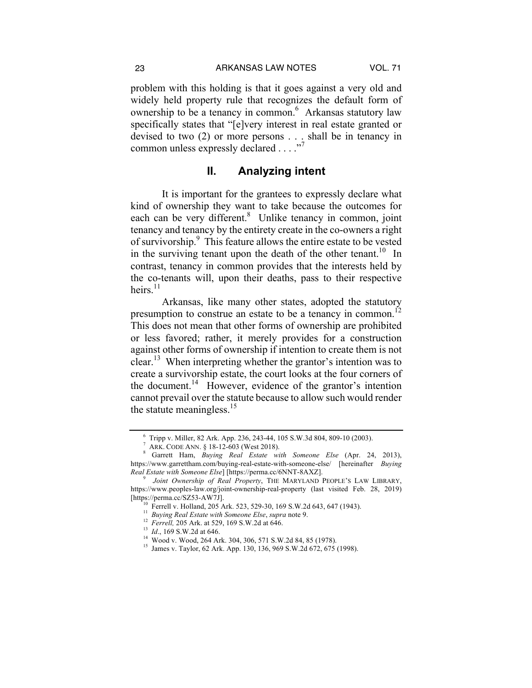problem with this holding is that it goes against a very old and widely held property rule that recognizes the default form of ownership to be a tenancy in common.<sup>6</sup> Arkansas statutory law specifically states that "[e]very interest in real estate granted or devised to two (2) or more persons . . . shall be in tenancy in common unless expressly declared . . . . "7

#### **II. Analyzing intent**

It is important for the grantees to expressly declare what kind of ownership they want to take because the outcomes for each can be very different.<sup>8</sup> Unlike tenancy in common, joint tenancy and tenancy by the entirety create in the co-owners a right of survivorship.<sup>9</sup> This feature allows the entire estate to be vested in the surviving tenant upon the death of the other tenant.<sup>10</sup> In contrast, tenancy in common provides that the interests held by the co-tenants will, upon their deaths, pass to their respective heirs $11$ 

Arkansas, like many other states, adopted the statutory presumption to construe an estate to be a tenancy in common.<sup>12</sup> This does not mean that other forms of ownership are prohibited or less favored; rather, it merely provides for a construction against other forms of ownership if intention to create them is not clear.<sup>13</sup> When interpreting whether the grantor's intention was to create a survivorship estate, the court looks at the four corners of the document.<sup>14</sup> However, evidence of the grantor's intention cannot prevail over the statute because to allow such would render the statute meaningless. $15$ 

<sup>6</sup> Tripp v. Miller, 82 Ark. App. 236, 243-44, 105 S.W.3d 804, 809-10 (2003). <sup>7</sup> ARK. CODE ANN. § 18-12-603 (West 2018). <sup>8</sup> Garrett Ham, *Buying Real Estate with Someone Else* (Apr. 24, 2013),

https://www.garrettham.com/buying-real-estate-with-someone-else/ [hereinafter *Buying* 

*Real Estate with Someone Else*] [https://perma.cc/6NNT-8AXZ]. <sup>9</sup> *Joint Ownership of Real Property*, THE MARYLAND PEOPLE'S LAW LIBRARY, https://www.peoples-law.org/joint-ownership-real-property (last visited Feb. 28, 2019) [https://perma.cc/SZ53-AW7J].<br><sup>10</sup> Ferrell v. Holland, 205 Ark. 523, 529-30, 169 S.W.2d 643, 647 (1943).<br><sup>11</sup> Buying Real Estate with Someone Else, supra note 9.<br><sup>12</sup> Ferrell, 205 Ark. at 529, 169 S.W.2d at 646.<br><sup>13</sup> Id.,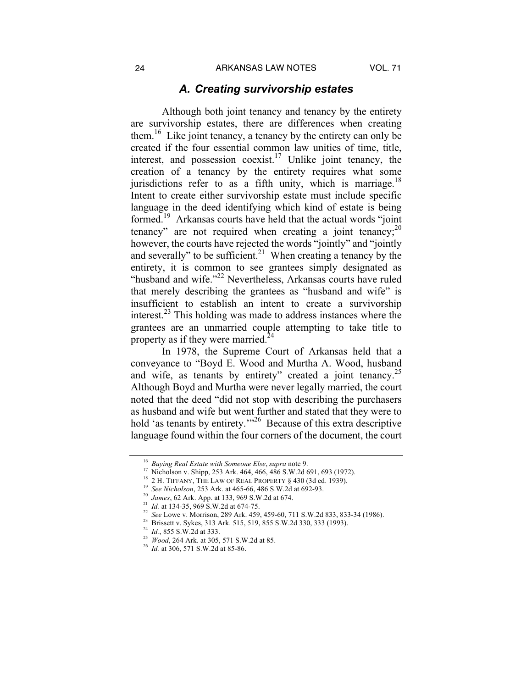#### *A. Creating survivorship estates*

Although both joint tenancy and tenancy by the entirety are survivorship estates, there are differences when creating them.16 Like joint tenancy, a tenancy by the entirety can only be created if the four essential common law unities of time, title, interest, and possession coexist.<sup>17</sup> Unlike joint tenancy, the creation of a tenancy by the entirety requires what some jurisdictions refer to as a fifth unity, which is marriage.<sup>18</sup> Intent to create either survivorship estate must include specific language in the deed identifying which kind of estate is being formed.<sup>19</sup> Arkansas courts have held that the actual words "joint" tenancy" are not required when creating a joint tenancy;  $2^{0}$ however, the courts have rejected the words "jointly" and "jointly and severally" to be sufficient.<sup>21</sup> When creating a tenancy by the entirety, it is common to see grantees simply designated as "husband and wife."<sup>22</sup> Nevertheless, Arkansas courts have ruled that merely describing the grantees as "husband and wife" is insufficient to establish an intent to create a survivorship interest. $23$  This holding was made to address instances where the grantees are an unmarried couple attempting to take title to property as if they were married.<sup>24</sup>

In 1978, the Supreme Court of Arkansas held that a conveyance to "Boyd E. Wood and Murtha A. Wood, husband and wife, as tenants by entirety" created a joint tenancy.<sup>25</sup> Although Boyd and Murtha were never legally married, the court noted that the deed "did not stop with describing the purchasers as husband and wife but went further and stated that they were to hold 'as tenants by entirety."<sup>26</sup> Because of this extra descriptive language found within the four corners of the document, the court

<sup>&</sup>lt;sup>16</sup> Buying Real Estate with Someone Else, supra note 9.<br>
<sup>17</sup> Nicholson v. Shipp, 253 Ark. 464, 466, 486 S.W.2d 691, 693 (1972).<br>
<sup>18</sup> 2 H. TIFFANY, THE LAW OF REAL PROPERTY § 430 (3d ed. 1939).<br>
<sup>19</sup> *See Nicholson*, 25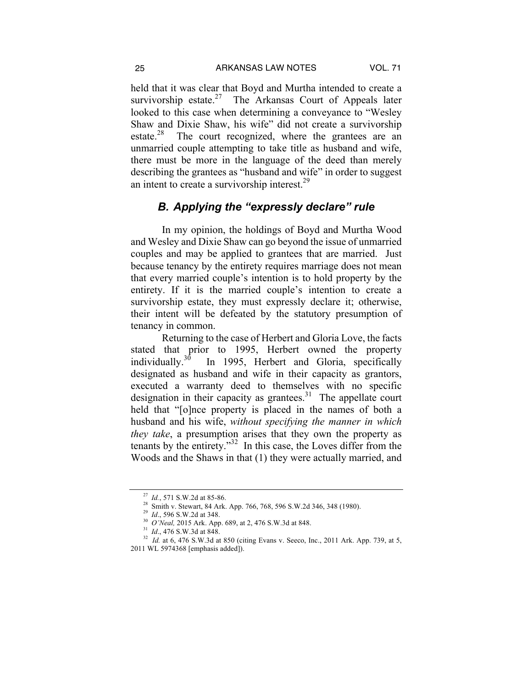held that it was clear that Boyd and Murtha intended to create a survivorship estate.<sup>27</sup> The Arkansas Court of Appeals later looked to this case when determining a conveyance to "Wesley Shaw and Dixie Shaw, his wife" did not create a survivorship estate.<sup>28</sup> The court recognized, where the grantees are an unmarried couple attempting to take title as husband and wife, there must be more in the language of the deed than merely describing the grantees as "husband and wife" in order to suggest an intent to create a survivorship interest.<sup>29</sup>

## *B. Applying the "expressly declare" rule*

In my opinion, the holdings of Boyd and Murtha Wood and Wesley and Dixie Shaw can go beyond the issue of unmarried couples and may be applied to grantees that are married. Just because tenancy by the entirety requires marriage does not mean that every married couple's intention is to hold property by the entirety. If it is the married couple's intention to create a survivorship estate, they must expressly declare it; otherwise, their intent will be defeated by the statutory presumption of tenancy in common.

Returning to the case of Herbert and Gloria Love, the facts stated that prior to 1995, Herbert owned the property individually.<sup>30</sup> In 1995, Herbert and Gloria, specifically In 1995, Herbert and Gloria, specifically designated as husband and wife in their capacity as grantors, executed a warranty deed to themselves with no specific designation in their capacity as grantees.<sup>31</sup> The appellate court held that "[o]nce property is placed in the names of both a husband and his wife, *without specifying the manner in which they take*, a presumption arises that they own the property as tenants by the entirety."<sup>32</sup> In this case, the Loves differ from the Woods and the Shaws in that (1) they were actually married, and

<sup>&</sup>lt;sup>27</sup> *Id.*, 571 S.W.2d at 85-86.<br><sup>28</sup> Smith v. Stewart, 84 Ark. App. 766, 768, 596 S.W.2d 346, 348 (1980).<br><sup>29</sup> *Id.*, 596 S.W.2d at 348.<br><sup>30</sup> *O'Neal*, 2015 Ark. App. 689, at 2, 476 S.W.3d at 848.<br><sup>31</sup> *Id.*, 476 S.W.3d 2011 WL 5974368 [emphasis added]).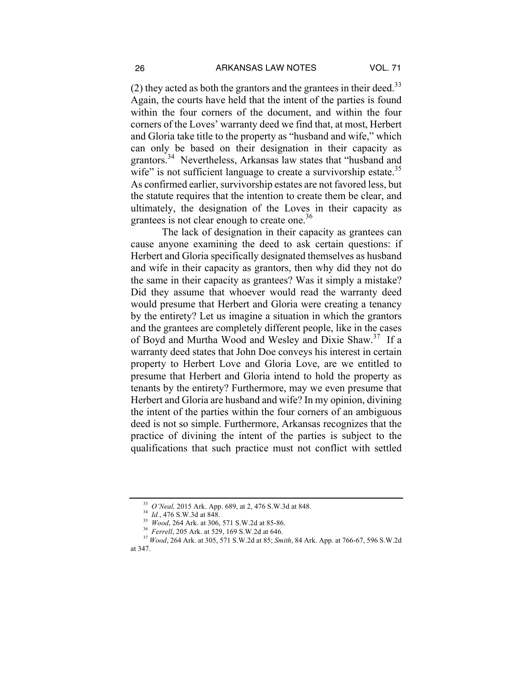(2) they acted as both the grantors and the grantees in their deed.<sup>33</sup> Again, the courts have held that the intent of the parties is found within the four corners of the document, and within the four corners of the Loves' warranty deed we find that, at most, Herbert and Gloria take title to the property as "husband and wife," which can only be based on their designation in their capacity as grantors.<sup>34</sup> Nevertheless, Arkansas law states that "husband and wife" is not sufficient language to create a survivorship estate.<sup>35</sup> As confirmed earlier, survivorship estates are not favored less, but the statute requires that the intention to create them be clear, and ultimately, the designation of the Loves in their capacity as grantees is not clear enough to create one.<sup>36</sup>

The lack of designation in their capacity as grantees can cause anyone examining the deed to ask certain questions: if Herbert and Gloria specifically designated themselves as husband and wife in their capacity as grantors, then why did they not do the same in their capacity as grantees? Was it simply a mistake? Did they assume that whoever would read the warranty deed would presume that Herbert and Gloria were creating a tenancy by the entirety? Let us imagine a situation in which the grantors and the grantees are completely different people, like in the cases of Boyd and Murtha Wood and Wesley and Dixie Shaw.37 If a warranty deed states that John Doe conveys his interest in certain property to Herbert Love and Gloria Love, are we entitled to presume that Herbert and Gloria intend to hold the property as tenants by the entirety? Furthermore, may we even presume that Herbert and Gloria are husband and wife? In my opinion, divining the intent of the parties within the four corners of an ambiguous deed is not so simple. Furthermore, Arkansas recognizes that the practice of divining the intent of the parties is subject to the qualifications that such practice must not conflict with settled

<sup>&</sup>lt;sup>33</sup> *O'Neal*, 2015 Ark. App. 689, at 2, 476 S.W.3d at 848.<br><sup>34</sup> *Id.*, 476 S.W.3d at 848.<br><sup>35</sup> *Wood*, 264 Ark. at 306, 571 S.W.2d at 85-86.<br><sup>36</sup> *Ferrell*, 205 Ark. at 529, 169 S.W.2d at 646.<br><sup>37</sup> *Wood*, 264 Ark. at 30 at 347.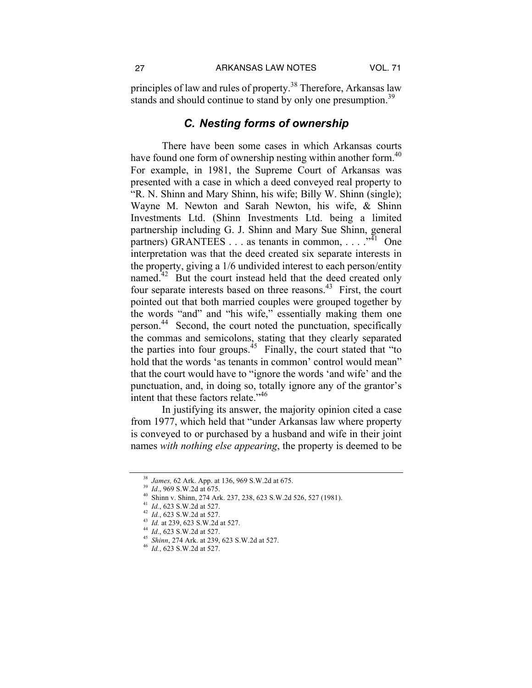principles of law and rules of property.<sup>38</sup> Therefore, Arkansas law stands and should continue to stand by only one presumption.<sup>39</sup>

# *C. Nesting forms of ownership*

There have been some cases in which Arkansas courts have found one form of ownership nesting within another form.<sup>40</sup> For example, in 1981, the Supreme Court of Arkansas was presented with a case in which a deed conveyed real property to "R. N. Shinn and Mary Shinn, his wife; Billy W. Shinn (single); Wayne M. Newton and Sarah Newton, his wife, & Shinn Investments Ltd. (Shinn Investments Ltd. being a limited partnership including G. J. Shinn and Mary Sue Shinn, general partners) GRANTEES . . . as tenants in common, . . . .  $\cdot^{M_1}$  One interpretation was that the deed created six separate interests in the property, giving a 1/6 undivided interest to each person/entity named.<sup>42</sup> But the court instead held that the deed created only four separate interests based on three reasons.<sup>43</sup> First, the court pointed out that both married couples were grouped together by the words "and" and "his wife," essentially making them one person.44 Second, the court noted the punctuation, specifically the commas and semicolons, stating that they clearly separated the parties into four groups.<sup> $45$ </sup> Finally, the court stated that "to" hold that the words 'as tenants in common' control would mean" that the court would have to "ignore the words 'and wife' and the punctuation, and, in doing so, totally ignore any of the grantor's intent that these factors relate."<sup>46</sup>

In justifying its answer, the majority opinion cited a case from 1977, which held that "under Arkansas law where property is conveyed to or purchased by a husband and wife in their joint names *with nothing else appearing*, the property is deemed to be

<sup>&</sup>lt;sup>38</sup> *James*, 62 Ark. App. at 136, 969 S.W.2d at 675.<br><sup>39</sup> *Id.*, 969 S.W.2d at 675.<br><sup>40</sup> Shinn v. Shinn, 274 Ark. 237, 238, 623 S.W.2d 526, 527 (1981).<br><sup>41</sup> *Id.*, 623 S.W.2d at 527.<br><sup>42</sup> *Id.*, 623 S.W.2d at 527.<br><sup>43</sup>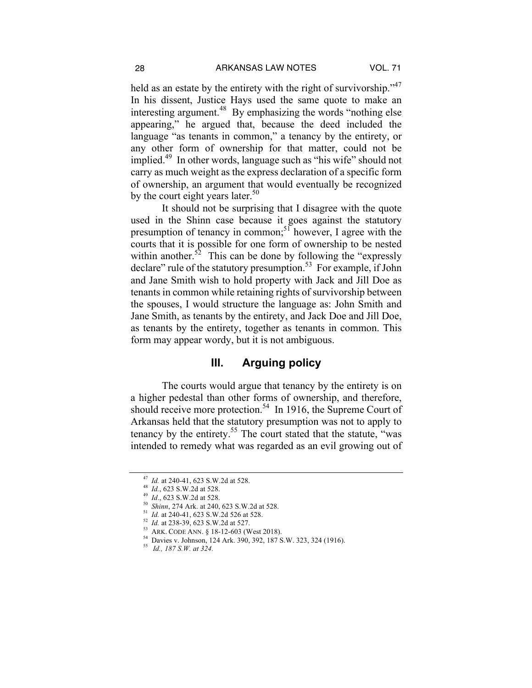held as an estate by the entirety with the right of survivorship."<sup>47</sup> In his dissent, Justice Hays used the same quote to make an interesting argument.<sup>48</sup> By emphasizing the words "nothing else" appearing," he argued that, because the deed included the language "as tenants in common," a tenancy by the entirety, or any other form of ownership for that matter, could not be implied.49 In other words, language such as "his wife" should not carry as much weight as the express declaration of a specific form of ownership, an argument that would eventually be recognized by the court eight years later.<sup>50</sup>

It should not be surprising that I disagree with the quote used in the Shinn case because it goes against the statutory presumption of tenancy in common;<sup>51</sup> however, I agree with the courts that it is possible for one form of ownership to be nested within another.<sup>52</sup> This can be done by following the "expressly" declare" rule of the statutory presumption.<sup>53</sup> For example, if John and Jane Smith wish to hold property with Jack and Jill Doe as tenants in common while retaining rights of survivorship between the spouses, I would structure the language as: John Smith and Jane Smith, as tenants by the entirety, and Jack Doe and Jill Doe, as tenants by the entirety, together as tenants in common. This form may appear wordy, but it is not ambiguous.

### **III. Arguing policy**

The courts would argue that tenancy by the entirety is on a higher pedestal than other forms of ownership, and therefore, should receive more protection.<sup>54</sup> In 1916, the Supreme Court of Arkansas held that the statutory presumption was not to apply to tenancy by the entirety.<sup>55</sup> The court stated that the statute, "was intended to remedy what was regarded as an evil growing out of

<sup>&</sup>lt;sup>47</sup> *Id.* at 240-41, 623 S.W.2d at 528.<br><sup>48</sup> *Id.*, 623 S.W.2d at 528.<br><sup>49</sup> *Id.*, 623 S.W.2d at 528.<br><sup>50</sup> *Id.*, 623 S.W.2d at 528.<br><sup>51</sup> *Id.* at 240-41, 623 S.W.2d 526 at 528.<br><sup>52</sup> *Id.* at 238-39, 623 S.W.2d at 527.<br><sup></sup>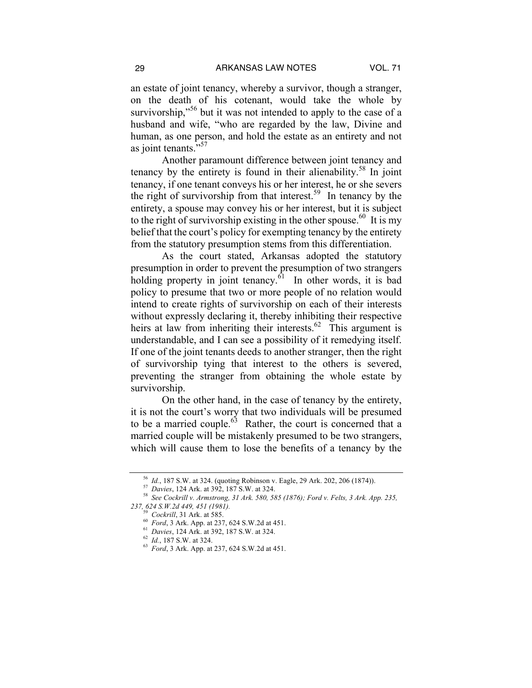an estate of joint tenancy, whereby a survivor, though a stranger, on the death of his cotenant, would take the whole by survivorship,"<sup>56</sup> but it was not intended to apply to the case of a husband and wife, "who are regarded by the law, Divine and human, as one person, and hold the estate as an entirety and not as joint tenants."<sup>57</sup>

Another paramount difference between joint tenancy and tenancy by the entirety is found in their alienability.<sup>58</sup> In joint tenancy, if one tenant conveys his or her interest, he or she severs the right of survivorship from that interest.<sup>59</sup> In tenancy by the entirety, a spouse may convey his or her interest, but it is subject to the right of survivorship existing in the other spouse.<sup>60</sup> It is my belief that the court's policy for exempting tenancy by the entirety from the statutory presumption stems from this differentiation.

As the court stated, Arkansas adopted the statutory presumption in order to prevent the presumption of two strangers holding property in joint tenancy. $\delta$ <sup>1</sup> In other words, it is bad policy to presume that two or more people of no relation would intend to create rights of survivorship on each of their interests without expressly declaring it, thereby inhibiting their respective heirs at law from inheriting their interests.<sup>62</sup> This argument is understandable, and I can see a possibility of it remedying itself. If one of the joint tenants deeds to another stranger, then the right of survivorship tying that interest to the others is severed, preventing the stranger from obtaining the whole estate by survivorship.

On the other hand, in the case of tenancy by the entirety, it is not the court's worry that two individuals will be presumed to be a married couple.<sup> $63$ </sup> Rather, the court is concerned that a married couple will be mistakenly presumed to be two strangers, which will cause them to lose the benefits of a tenancy by the

<sup>&</sup>lt;sup>56</sup> *Id.*, 187 S.W. at 324. (quoting Robinson v. Eagle, 29 Ark. 202, 206 (1874)).<br><sup>57</sup> *Davies*, 124 Ark. at 392, 187 S.W. at 324.<br><sup>58</sup> *See Cockrill v. Armstrong, 31 Ark. 580, 585 (1876); Ford v. Felts, 3 Ark. App. 235,* 237, 624 S.W.2d 449, 451 (1981).<br>
<sup>59</sup> Cockrill, 31 Ark. at 585.<br>
<sup>60</sup> Ford, 3 Ark. App. at 237, 624 S.W.2d at 451.<br>
<sup>61</sup> Davies, 124 Ark. at 392, 187 S.W. at 324.<br>
<sup>62</sup> Id., 187 S.W. at 324.<br>
<sup>63</sup> Ford, 3 Ark. App. at 23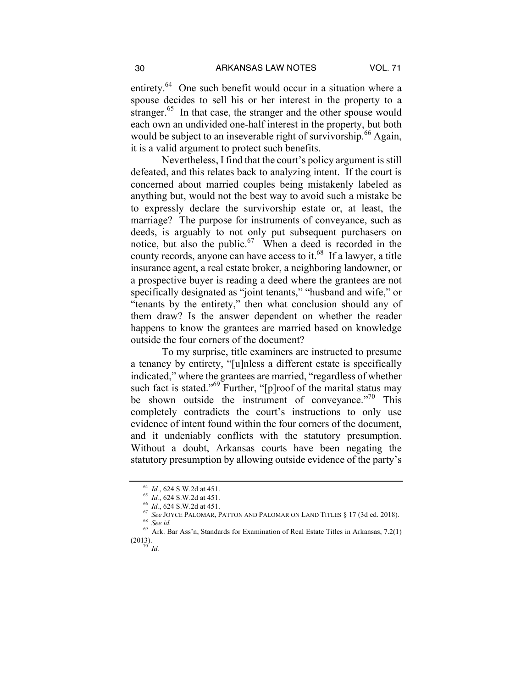entirety.<sup>64</sup> One such benefit would occur in a situation where a spouse decides to sell his or her interest in the property to a stranger.<sup>65</sup> In that case, the stranger and the other spouse would each own an undivided one-half interest in the property, but both would be subject to an inseverable right of survivorship.<sup>66</sup> Again, it is a valid argument to protect such benefits.

Nevertheless, I find that the court's policy argument is still defeated, and this relates back to analyzing intent. If the court is concerned about married couples being mistakenly labeled as anything but, would not the best way to avoid such a mistake be to expressly declare the survivorship estate or, at least, the marriage? The purpose for instruments of conveyance, such as deeds, is arguably to not only put subsequent purchasers on notice, but also the public.<sup>67</sup> When a deed is recorded in the county records, anyone can have access to it.<sup>68</sup> If a lawyer, a title insurance agent, a real estate broker, a neighboring landowner, or a prospective buyer is reading a deed where the grantees are not specifically designated as "joint tenants," "husband and wife," or "tenants by the entirety," then what conclusion should any of them draw? Is the answer dependent on whether the reader happens to know the grantees are married based on knowledge outside the four corners of the document?

To my surprise, title examiners are instructed to presume a tenancy by entirety, "[u]nless a different estate is specifically indicated," where the grantees are married, "regardless of whether such fact is stated."<sup>69</sup> Further, "[p]roof of the marital status may be shown outside the instrument of conveyance."<sup>70</sup> This completely contradicts the court's instructions to only use evidence of intent found within the four corners of the document, and it undeniably conflicts with the statutory presumption. Without a doubt, Arkansas courts have been negating the statutory presumption by allowing outside evidence of the party's

<sup>&</sup>lt;sup>64</sup> *Id.*, 624 S.W.2d at 451.<br><sup>65</sup> *Id.*, 624 S.W.2d at 451.<br><sup>66</sup> *Id.*, 624 S.W.2d at 451.<br><sup>67</sup> *See JOYCE PALOMAR, PATTON AND PALOMAR ON LAND TITLES* § 17 (3d ed. 2018).<br><sup>68</sup> *See id.*<br><sup>69</sup> Ark. Bar Ass'n, Standards fo

 $(2013).$ <sup>70</sup> *Id.*